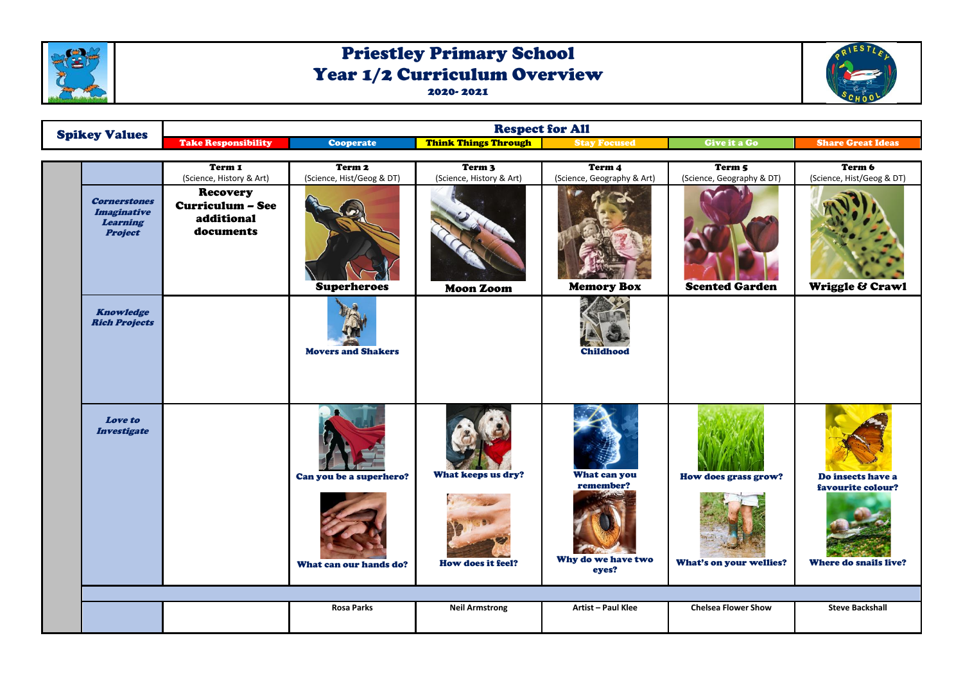

## Priestley Primary School Year 1/2 Curriculum Overview 2020- 2021



| <b>Spikey Values</b>                                                           | <b>Respect for All</b>                                                |                                                   |                                               |                                                          |                                                 |                                                                        |  |  |
|--------------------------------------------------------------------------------|-----------------------------------------------------------------------|---------------------------------------------------|-----------------------------------------------|----------------------------------------------------------|-------------------------------------------------|------------------------------------------------------------------------|--|--|
|                                                                                | <b>Take Responsibility</b>                                            | <b>Cooperate</b>                                  | <b>Think Things Through</b>                   | <b>Stay Focused</b>                                      | Give it a Go                                    | <b>Share Great Ideas</b>                                               |  |  |
|                                                                                | Term 1<br>(Science, History & Art)                                    | Term <sub>2</sub><br>(Science, Hist/Geog & DT)    | Term <sub>3</sub><br>(Science, History & Art) | Term 4<br>(Science, Geography & Art)                     | Term 5<br>(Science, Geography & DT)             | Term 6<br>(Science, Hist/Geog & DT)                                    |  |  |
| <b>Cornerstones</b><br><b>Imaginative</b><br><b>Learning</b><br><b>Project</b> | <b>Recovery</b><br><b>Curriculum - See</b><br>additional<br>documents | <b>Superheroes</b>                                | Moon Zoom                                     | <b>Memory Box</b>                                        | <b>Scented Garden</b>                           | Wriggle & Crawl                                                        |  |  |
| <b>Knowledge</b><br><b>Rich Projects</b>                                       |                                                                       | <b>Movers and Shakers</b>                         |                                               | <b>Childhood</b>                                         |                                                 |                                                                        |  |  |
| <b>Love to</b><br><b>Investigate</b>                                           |                                                                       | Can you be a superhero?<br>What can our hands do? | What keeps us dry?<br>How does it feel?       | What can you<br>remember?<br>Why do we have two<br>eyes? | How does grass grow?<br>What's on your wellies? | Do insects have a<br>favourite colour?<br><b>Where do snails live?</b> |  |  |
|                                                                                |                                                                       |                                                   |                                               |                                                          |                                                 |                                                                        |  |  |
|                                                                                |                                                                       | <b>Rosa Parks</b>                                 | <b>Neil Armstrong</b>                         | Artist - Paul Klee                                       | <b>Chelsea Flower Show</b>                      | <b>Steve Backshall</b>                                                 |  |  |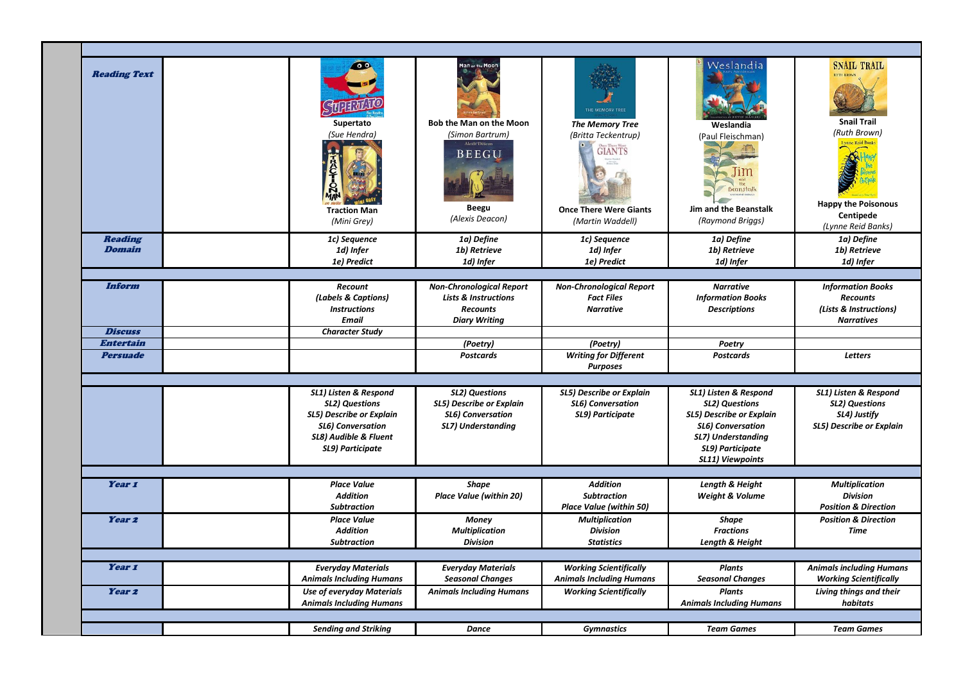| <b>Reading Text</b>             | Supertato<br>(Sue Hendra)<br><b>Traction Man</b><br>(Mini Grey)                                                                                     | <b>Bob the Man on the Moon</b><br>(Simon Bartrum)<br>lexis Deacor<br>BEEGU<br>Beegu<br>(Alexis Deacon)        | THE MEMORY TREE<br><b>The Memory Tree</b><br>(Britta Teckentrup)<br><b>GIANTS</b><br><b>Once There Were Giants</b><br>(Martin Waddell) | Weslandia<br>Weslandia<br>(Paul Fleischman)<br><b>Beanstalk</b><br>Jim and the Beanstalk<br>(Raymond Briggs)                                                         | <b>SNAIL TRAIL</b><br><b>Snail Trail</b><br>(Ruth Brown)<br>Lynne Reid Bank<br><b>Happy the Poisonous</b><br>Centipede<br>(Lynne Reid Banks) |
|---------------------------------|-----------------------------------------------------------------------------------------------------------------------------------------------------|---------------------------------------------------------------------------------------------------------------|----------------------------------------------------------------------------------------------------------------------------------------|----------------------------------------------------------------------------------------------------------------------------------------------------------------------|----------------------------------------------------------------------------------------------------------------------------------------------|
| <b>Reading</b><br><b>Domain</b> | 1c) Sequence<br>1d) Infer<br>1e) Predict                                                                                                            | 1a) Define<br>1b) Retrieve<br>1d) Infer                                                                       | 1c) Sequence<br>1d) Infer<br>1e) Predict                                                                                               | 1a) Define<br>1b) Retrieve<br>1d) Infer                                                                                                                              | 1a) Define<br>1b) Retrieve<br>1d) Infer                                                                                                      |
|                                 |                                                                                                                                                     |                                                                                                               |                                                                                                                                        |                                                                                                                                                                      |                                                                                                                                              |
| Inform                          | <b>Recount</b><br>(Labels & Captions)<br><b>Instructions</b><br><b>Email</b>                                                                        | <b>Non-Chronological Report</b><br><b>Lists &amp; Instructions</b><br><b>Recounts</b><br><b>Diary Writing</b> | <b>Non-Chronological Report</b><br><b>Fact Files</b><br><b>Narrative</b>                                                               | <b>Narrative</b><br><b>Information Books</b><br><b>Descriptions</b>                                                                                                  | <b>Information Books</b><br><b>Recounts</b><br>(Lists & Instructions)<br><b>Narratives</b>                                                   |
| <b>Discuss</b>                  | <b>Character Study</b>                                                                                                                              |                                                                                                               |                                                                                                                                        |                                                                                                                                                                      |                                                                                                                                              |
| <b>Entertain</b>                |                                                                                                                                                     | (Poetry)                                                                                                      | (Poetry)                                                                                                                               | Poetry                                                                                                                                                               |                                                                                                                                              |
| <b>Persuade</b>                 |                                                                                                                                                     | <b>Postcards</b>                                                                                              | <b>Writing for Different</b><br><b>Purposes</b>                                                                                        | <b>Postcards</b>                                                                                                                                                     | <b>Letters</b>                                                                                                                               |
|                                 |                                                                                                                                                     |                                                                                                               |                                                                                                                                        |                                                                                                                                                                      |                                                                                                                                              |
|                                 | SL1) Listen & Respond<br><b>SL2) Questions</b><br>SL5) Describe or Explain<br><b>SL6)</b> Conversation<br>SL8) Audible & Fluent<br>SL9) Participate | <b>SL2) Questions</b><br>SL5) Describe or Explain<br><b>SL6) Conversation</b><br>SL7) Understanding           | <b>SL5) Describe or Explain</b><br><b>SL6) Conversation</b><br>SL9) Participate                                                        | SL1) Listen & Respond<br><b>SL2) Questions</b><br>SL5) Describe or Explain<br><b>SL6) Conversation</b><br>SL7) Understanding<br>SL9) Participate<br>SL11) Viewpoints | SL1) Listen & Respond<br><b>SL2) Questions</b><br>SL4) Justify<br>SL5) Describe or Explain                                                   |
|                                 |                                                                                                                                                     |                                                                                                               |                                                                                                                                        |                                                                                                                                                                      |                                                                                                                                              |
| Year 1                          | <b>Place Value</b><br><b>Addition</b><br><b>Subtraction</b>                                                                                         | Shape<br><b>Place Value (within 20)</b>                                                                       | <b>Addition</b><br><b>Subtraction</b><br>Place Value (within 50)                                                                       | Length & Height<br>Weight & Volume                                                                                                                                   | <b>Multiplication</b><br><b>Division</b><br><b>Position &amp; Direction</b>                                                                  |
| Year <sub>2</sub>               | <b>Place Value</b><br><b>Addition</b><br><b>Subtraction</b>                                                                                         | Money<br><b>Multiplication</b><br><b>Division</b>                                                             | <b>Multiplication</b><br><b>Division</b><br><b>Statistics</b>                                                                          | <b>Shape</b><br><b>Fractions</b><br>Length & Height                                                                                                                  | <b>Position &amp; Direction</b><br><b>Time</b>                                                                                               |
|                                 |                                                                                                                                                     |                                                                                                               |                                                                                                                                        |                                                                                                                                                                      |                                                                                                                                              |
| Year 1                          | <b>Everyday Materials</b><br><b>Animals Including Humans</b>                                                                                        | <b>Everyday Materials</b><br><b>Seasonal Changes</b>                                                          | <b>Working Scientifically</b><br><b>Animals Including Humans</b>                                                                       | <b>Plants</b><br><b>Seasonal Changes</b>                                                                                                                             | <b>Animals including Humans</b><br><b>Working Scientifically</b>                                                                             |
| Year <sub>2</sub>               | <b>Use of everyday Materials</b><br><b>Animals Including Humans</b>                                                                                 | <b>Animals Including Humans</b>                                                                               | <b>Working Scientifically</b>                                                                                                          | <b>Plants</b><br><b>Animals Including Humans</b>                                                                                                                     | Living things and their<br>habitats                                                                                                          |
|                                 |                                                                                                                                                     |                                                                                                               |                                                                                                                                        |                                                                                                                                                                      |                                                                                                                                              |
|                                 | <b>Sending and Striking</b>                                                                                                                         | <b>Dance</b>                                                                                                  | <b>Gymnastics</b>                                                                                                                      | <b>Team Games</b>                                                                                                                                                    | <b>Team Games</b>                                                                                                                            |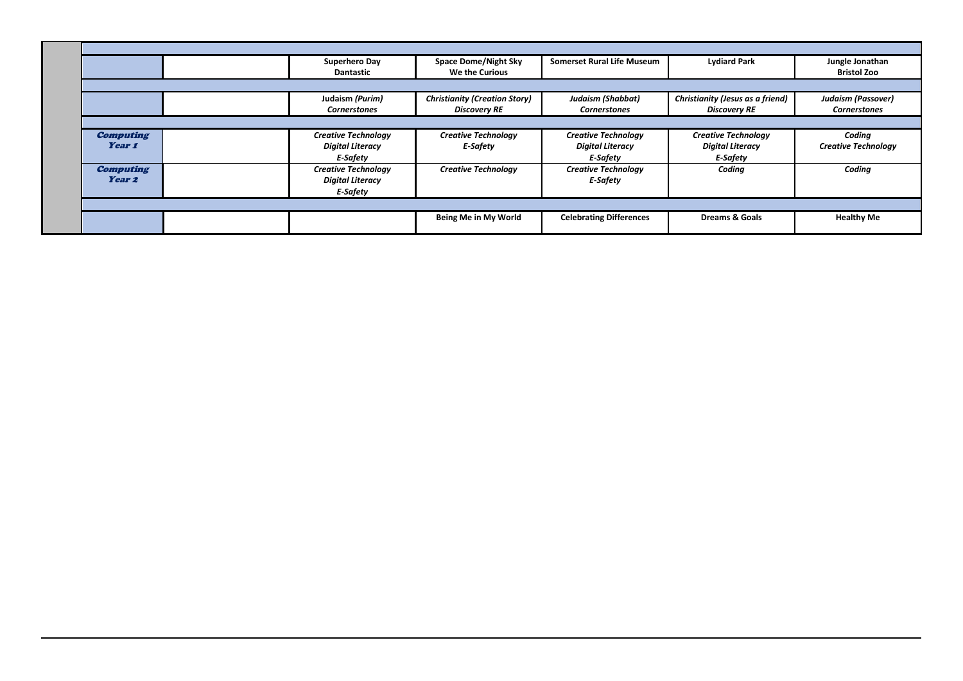|                                       | Superhero Day<br><b>Dantastic</b>                                        | <b>Space Dome/Night Sky</b><br>We the Curious               | <b>Somerset Rural Life Museum</b>                                        | <b>Lydiard Park</b>                                                      | Jungle Jonathan<br><b>Bristol Zoo</b>            |
|---------------------------------------|--------------------------------------------------------------------------|-------------------------------------------------------------|--------------------------------------------------------------------------|--------------------------------------------------------------------------|--------------------------------------------------|
|                                       |                                                                          |                                                             |                                                                          |                                                                          |                                                  |
|                                       | Judaism (Purim)<br><b>Cornerstones</b>                                   | <b>Christianity (Creation Story)</b><br><b>Discovery RE</b> | Judaism (Shabbat)<br><b>Cornerstones</b>                                 | Christianity (Jesus as a friend)<br><b>Discovery RE</b>                  | <b>Judaism (Passover)</b><br><b>Cornerstones</b> |
|                                       |                                                                          |                                                             |                                                                          |                                                                          |                                                  |
| <b>Computing</b><br>Year 1            | <b>Creative Technology</b><br><b>Digital Literacy</b><br><b>F-Safety</b> | <b>Creative Technology</b><br><b>E-Safety</b>               | <b>Creative Technology</b><br><b>Digital Literacy</b><br><b>F-Safety</b> | <b>Creative Technology</b><br><b>Digital Literacy</b><br><b>E-Safety</b> | Coding<br><b>Creative Technology</b>             |
| <b>Computing</b><br>Year <sub>2</sub> | <b>Creative Technology</b><br><b>Digital Literacy</b><br><b>E-Safety</b> | <b>Creative Technology</b>                                  | <b>Creative Technology</b><br><b>E-Safety</b>                            | Coding                                                                   | Coding                                           |
|                                       |                                                                          |                                                             |                                                                          |                                                                          |                                                  |
|                                       |                                                                          | Being Me in My World                                        | <b>Celebrating Differences</b>                                           | <b>Dreams &amp; Goals</b>                                                | <b>Healthy Me</b>                                |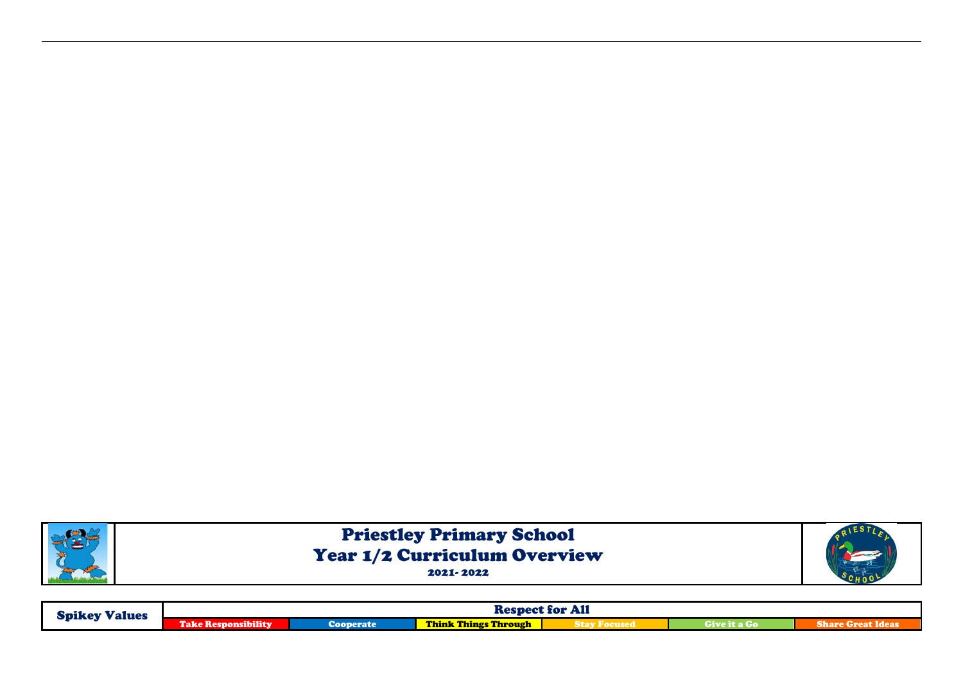

| <b>Spikey Values</b> | <b>Respect for All</b>                  |           |                             |  |              |                          |  |
|----------------------|-----------------------------------------|-----------|-----------------------------|--|--------------|--------------------------|--|
|                      | $\omega$ is ibility<br><b>Take Resi</b> | Cooperate | <b>Think Things Through</b> |  | Give it a Go | <b>Share Great Ideas</b> |  |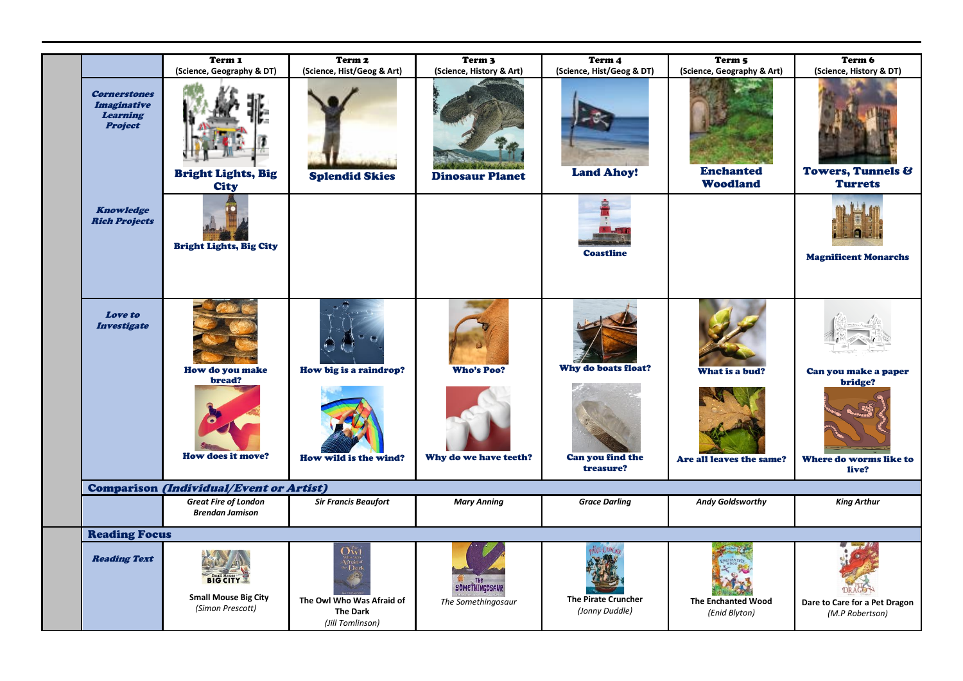|                                                                         | Term 1<br>(Science, Geography & DT)                                | Term <sub>2</sub><br>(Science, Hist/Geog & Art)                                                | Term <sub>3</sub><br>(Science, History & Art) | Term 4<br>(Science, Hist/Geog & DT)                  | Term 5<br>(Science, Geography & Art)       | Term 6<br>(Science, History & DT)                                  |
|-------------------------------------------------------------------------|--------------------------------------------------------------------|------------------------------------------------------------------------------------------------|-----------------------------------------------|------------------------------------------------------|--------------------------------------------|--------------------------------------------------------------------|
| <b>Cornerstones</b><br><i>Imaginative</i><br>Learning<br><b>Project</b> | <b>Bright Lights, Big</b><br><b>City</b>                           | <b>Splendid Skies</b>                                                                          | <b>Dinosaur Planet</b>                        | <b>Land Ahoy!</b>                                    | <b>Enchanted</b><br><b>Woodland</b>        | Towers, Tunnels &<br><b>Turrets</b>                                |
| <b>Knowledge</b><br><b>Rich Projects</b>                                | <b>Bright Lights, Big City</b>                                     |                                                                                                |                                               | <b>Coastline</b>                                     |                                            | <b>Magnificent Monarchs</b>                                        |
| <b>Love</b> to<br><b>Investigate</b>                                    | How do you make<br>bread?<br><b>How does it move?</b>              | How big is a raindrop?<br>How wild is the wind?                                                | <b>Who's Poo?</b><br>Why do we have teeth?    | Why do boats float?<br>Can you find the<br>treasure? | What is a bud?<br>Are all leaves the same? | Can you make a paper<br>bridge?<br>Where do worms like to<br>live? |
|                                                                         | <b>Comparison (Individual/Event or Artist)</b>                     |                                                                                                |                                               |                                                      |                                            |                                                                    |
|                                                                         | <b>Great Fire of London</b><br><b>Brendan Jamison</b>              | <b>Sir Francis Beaufort</b>                                                                    | <b>Mary Anning</b>                            | <b>Grace Darling</b>                                 | <b>Andy Goldsworthy</b>                    | <b>King Arthur</b>                                                 |
| <b>Reading Focus</b>                                                    |                                                                    |                                                                                                |                                               |                                                      |                                            |                                                                    |
| <b>Reading Text</b>                                                     | <b>BIG CITY</b><br><b>Small Mouse Big City</b><br>(Simon Prescott) | $\rm O_{W1}^{n}$<br>Afroid of<br>$\frac{1}{2}$<br>The Owl Who Was Afraid of<br><b>The Dark</b> | SOMETHINGOSAUR<br>The Somethingosaur          | <b>The Pirate Cruncher</b><br>(Jonny Duddle)         | <b>The Enchanted Wood</b><br>(Enid Blyton) | <b>DRAG</b><br>Dare to Care for a Pet Dragon<br>(M.P Robertson)    |
|                                                                         |                                                                    | (Jill Tomlinson)                                                                               |                                               |                                                      |                                            |                                                                    |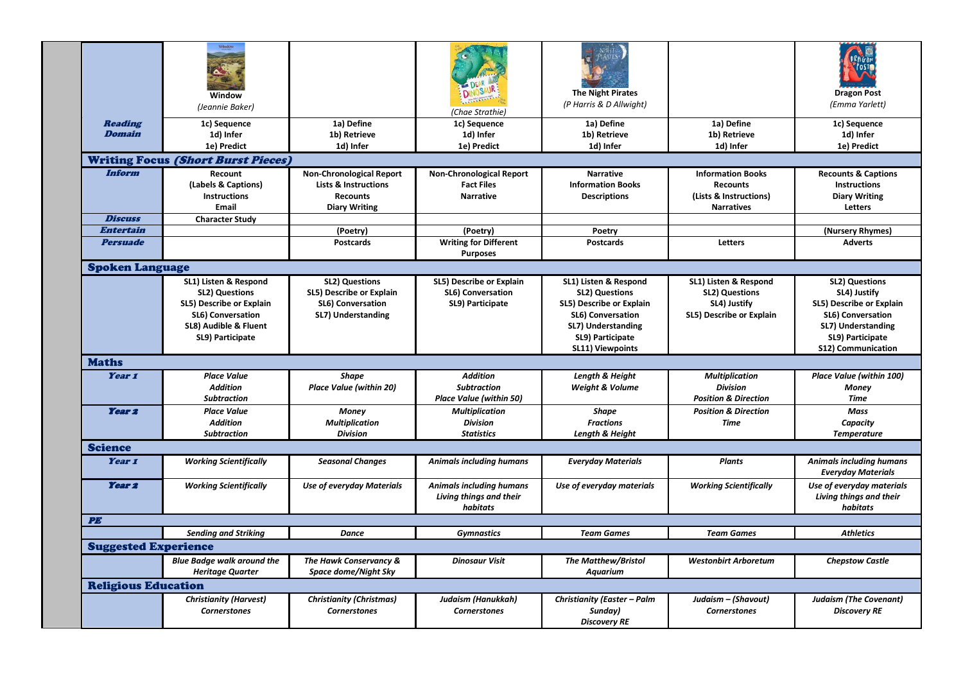| <b>Reading</b><br>1a) Define<br>1c) Sequence<br>1a) Define<br>1c) Sequence<br>1a) Define<br>1c) Sequence<br><b>Domain</b><br>1d) Infer<br>1b) Retrieve<br>1d) Infer<br>1b) Retrieve<br>1b) Retrieve<br>1d) Infer<br>1e) Predict<br>1d) Infer<br>1e) Predict<br>1d) Infer<br>1d) Infer<br>1e) Predict<br><b>Writing Focus (Short Burst Pieces)</b><br>Inform<br>Recount<br><b>Non-Chronological Report</b><br><b>Non-Chronological Report</b><br><b>Narrative</b><br><b>Information Books</b><br><b>Recounts &amp; Captions</b><br>(Labels & Captions)<br><b>Lists &amp; Instructions</b><br><b>Fact Files</b><br><b>Information Books</b><br><b>Recounts</b><br><b>Instructions</b><br><b>Instructions</b><br><b>Narrative</b><br><b>Descriptions</b><br>(Lists & Instructions)<br><b>Diary Writing</b><br><b>Recounts</b><br>Email<br><b>Diary Writing</b><br>Letters<br><b>Narratives</b><br><b>Discuss</b><br><b>Character Study</b><br><b>Entertain</b><br>(Nursery Rhymes)<br>(Poetry)<br>(Poetry)<br>Poetry<br><b>Persuade</b><br><b>Writing for Different</b><br><b>Adverts</b><br><b>Postcards</b><br><b>Postcards</b><br>Letters<br><b>Purposes</b><br><b>Spoken Language</b><br>SL1) Listen & Respond<br><b>SL2) Questions</b><br>SL5) Describe or Explain<br>SL1) Listen & Respond<br>SL1) Listen & Respond<br><b>SL2) Questions</b><br><b>SL2) Questions</b><br>SL5) Describe or Explain<br>SL6) Conversation<br><b>SL2) Questions</b><br><b>SL2) Questions</b><br>SL4) Justify<br>SL5) Describe or Explain<br>SL4) Justify<br>SL5) Describe or Explain<br><b>SL6) Conversation</b><br>SL9) Participate<br>SL5) Describe or Explain<br>SL6) Conversation<br>SL7) Understanding<br>SL6) Conversation<br>SL5) Describe or Explain<br>SL6) Conversation<br>SL8) Audible & Fluent<br>SL7) Understanding<br>SL7) Understanding<br>SL9) Participate<br>SL9) Participate<br>SL9) Participate<br>SL11) Viewpoints<br><b>S12) Communication</b><br><b>Maths</b><br>Year 1<br><b>Place Value</b><br><b>Addition</b><br>Length & Height<br>Place Value (within 100)<br><b>Shape</b><br><b>Multiplication</b><br><b>Addition</b><br><b>Place Value (within 20)</b><br><b>Subtraction</b><br><b>Weight &amp; Volume</b><br><b>Division</b><br><b>Money</b><br><b>Subtraction</b><br><b>Place Value (within 50)</b><br><b>Position &amp; Direction</b><br><b>Time</b><br>Year <sub>2</sub><br><b>Place Value</b><br><b>Multiplication</b><br><b>Shape</b><br><b>Position &amp; Direction</b><br><b>Mass</b><br>Money<br><b>Addition</b><br><b>Division</b><br><b>Multiplication</b><br><b>Fractions</b><br><b>Time</b><br>Capacity<br><b>Division</b><br><b>Statistics</b><br>Length & Height<br><b>Subtraction</b><br><b>Temperature</b><br><b>Science</b><br>Year 1<br><b>Seasonal Changes</b><br><b>Working Scientifically</b><br><b>Animals including humans</b><br><b>Everyday Materials</b><br><b>Plants</b><br><b>Animals including humans</b><br><b>Everyday Materials</b><br><b>Year 2</b><br><b>Animals including humans</b><br><b>Working Scientifically</b><br><b>Working Scientifically</b><br><b>Use of everyday Materials</b><br>Use of everyday materials<br>Use of everyday materials<br>Living things and their<br>Living things and their<br>habitats<br>habitats<br><b>PE</b><br><b>Sending and Striking</b><br><b>Athletics</b><br><b>Dance</b><br><b>Gymnastics</b><br><b>Team Games</b><br><b>Team Games</b><br><b>Suggested Experience</b><br><b>Blue Badge walk around the</b><br>The Hawk Conservancy &<br><b>Dinosaur Visit</b><br><b>The Matthew/Bristol</b><br><b>Westonbirt Arboretum</b><br><b>Chepstow Castle</b><br><b>Heritage Quarter</b><br>Space dome/Night Sky<br><b>Aquarium</b><br><b>Religious Education</b><br><b>Christianity (Harvest)</b><br>Judaism (Hanukkah)<br>Judaism - (Shavout)<br><b>Christianity (Christmas)</b><br>Christianity (Easter - Palm<br><b>Judaism (The Covenant)</b><br><b>Cornerstones</b><br><b>Cornerstones</b><br>Sundav)<br><b>Cornerstones</b><br><b>Cornerstones</b><br>Discovery RE<br><b>Discovery RE</b> | Window<br>(Jeannie Baker) | (Chae Strathie) | <b>The Night Pirates</b><br>(P Harris & D Allwight) | <b>Dragon Post</b><br>(Emma Yarlett) |
|------------------------------------------------------------------------------------------------------------------------------------------------------------------------------------------------------------------------------------------------------------------------------------------------------------------------------------------------------------------------------------------------------------------------------------------------------------------------------------------------------------------------------------------------------------------------------------------------------------------------------------------------------------------------------------------------------------------------------------------------------------------------------------------------------------------------------------------------------------------------------------------------------------------------------------------------------------------------------------------------------------------------------------------------------------------------------------------------------------------------------------------------------------------------------------------------------------------------------------------------------------------------------------------------------------------------------------------------------------------------------------------------------------------------------------------------------------------------------------------------------------------------------------------------------------------------------------------------------------------------------------------------------------------------------------------------------------------------------------------------------------------------------------------------------------------------------------------------------------------------------------------------------------------------------------------------------------------------------------------------------------------------------------------------------------------------------------------------------------------------------------------------------------------------------------------------------------------------------------------------------------------------------------------------------------------------------------------------------------------------------------------------------------------------------------------------------------------------------------------------------------------------------------------------------------------------------------------------------------------------------------------------------------------------------------------------------------------------------------------------------------------------------------------------------------------------------------------------------------------------------------------------------------------------------------------------------------------------------------------------------------------------------------------------------------------------------------------------------------------------------------------------------------------------------------------------------------------------------------------------------------------------------------------------------------------------------------------------------------------------------------------------------------------------------------------------------------------------------------------------------------------------------------------------------------------------------------------------------------------------------------------------------------------------------------------------------------------------------------------------------------------------------------------------------------------------------------------------------------------------------------------------------------------------------------------------------------------------------------------------------------------------------------------------------------------------------------|---------------------------|-----------------|-----------------------------------------------------|--------------------------------------|
|                                                                                                                                                                                                                                                                                                                                                                                                                                                                                                                                                                                                                                                                                                                                                                                                                                                                                                                                                                                                                                                                                                                                                                                                                                                                                                                                                                                                                                                                                                                                                                                                                                                                                                                                                                                                                                                                                                                                                                                                                                                                                                                                                                                                                                                                                                                                                                                                                                                                                                                                                                                                                                                                                                                                                                                                                                                                                                                                                                                                                                                                                                                                                                                                                                                                                                                                                                                                                                                                                                                                                                                                                                                                                                                                                                                                                                                                                                                                                                                                                                                                                    |                           |                 |                                                     |                                      |
|                                                                                                                                                                                                                                                                                                                                                                                                                                                                                                                                                                                                                                                                                                                                                                                                                                                                                                                                                                                                                                                                                                                                                                                                                                                                                                                                                                                                                                                                                                                                                                                                                                                                                                                                                                                                                                                                                                                                                                                                                                                                                                                                                                                                                                                                                                                                                                                                                                                                                                                                                                                                                                                                                                                                                                                                                                                                                                                                                                                                                                                                                                                                                                                                                                                                                                                                                                                                                                                                                                                                                                                                                                                                                                                                                                                                                                                                                                                                                                                                                                                                                    |                           |                 |                                                     |                                      |
|                                                                                                                                                                                                                                                                                                                                                                                                                                                                                                                                                                                                                                                                                                                                                                                                                                                                                                                                                                                                                                                                                                                                                                                                                                                                                                                                                                                                                                                                                                                                                                                                                                                                                                                                                                                                                                                                                                                                                                                                                                                                                                                                                                                                                                                                                                                                                                                                                                                                                                                                                                                                                                                                                                                                                                                                                                                                                                                                                                                                                                                                                                                                                                                                                                                                                                                                                                                                                                                                                                                                                                                                                                                                                                                                                                                                                                                                                                                                                                                                                                                                                    |                           |                 |                                                     |                                      |
|                                                                                                                                                                                                                                                                                                                                                                                                                                                                                                                                                                                                                                                                                                                                                                                                                                                                                                                                                                                                                                                                                                                                                                                                                                                                                                                                                                                                                                                                                                                                                                                                                                                                                                                                                                                                                                                                                                                                                                                                                                                                                                                                                                                                                                                                                                                                                                                                                                                                                                                                                                                                                                                                                                                                                                                                                                                                                                                                                                                                                                                                                                                                                                                                                                                                                                                                                                                                                                                                                                                                                                                                                                                                                                                                                                                                                                                                                                                                                                                                                                                                                    |                           |                 |                                                     |                                      |
|                                                                                                                                                                                                                                                                                                                                                                                                                                                                                                                                                                                                                                                                                                                                                                                                                                                                                                                                                                                                                                                                                                                                                                                                                                                                                                                                                                                                                                                                                                                                                                                                                                                                                                                                                                                                                                                                                                                                                                                                                                                                                                                                                                                                                                                                                                                                                                                                                                                                                                                                                                                                                                                                                                                                                                                                                                                                                                                                                                                                                                                                                                                                                                                                                                                                                                                                                                                                                                                                                                                                                                                                                                                                                                                                                                                                                                                                                                                                                                                                                                                                                    |                           |                 |                                                     |                                      |
|                                                                                                                                                                                                                                                                                                                                                                                                                                                                                                                                                                                                                                                                                                                                                                                                                                                                                                                                                                                                                                                                                                                                                                                                                                                                                                                                                                                                                                                                                                                                                                                                                                                                                                                                                                                                                                                                                                                                                                                                                                                                                                                                                                                                                                                                                                                                                                                                                                                                                                                                                                                                                                                                                                                                                                                                                                                                                                                                                                                                                                                                                                                                                                                                                                                                                                                                                                                                                                                                                                                                                                                                                                                                                                                                                                                                                                                                                                                                                                                                                                                                                    |                           |                 |                                                     |                                      |
|                                                                                                                                                                                                                                                                                                                                                                                                                                                                                                                                                                                                                                                                                                                                                                                                                                                                                                                                                                                                                                                                                                                                                                                                                                                                                                                                                                                                                                                                                                                                                                                                                                                                                                                                                                                                                                                                                                                                                                                                                                                                                                                                                                                                                                                                                                                                                                                                                                                                                                                                                                                                                                                                                                                                                                                                                                                                                                                                                                                                                                                                                                                                                                                                                                                                                                                                                                                                                                                                                                                                                                                                                                                                                                                                                                                                                                                                                                                                                                                                                                                                                    |                           |                 |                                                     |                                      |
|                                                                                                                                                                                                                                                                                                                                                                                                                                                                                                                                                                                                                                                                                                                                                                                                                                                                                                                                                                                                                                                                                                                                                                                                                                                                                                                                                                                                                                                                                                                                                                                                                                                                                                                                                                                                                                                                                                                                                                                                                                                                                                                                                                                                                                                                                                                                                                                                                                                                                                                                                                                                                                                                                                                                                                                                                                                                                                                                                                                                                                                                                                                                                                                                                                                                                                                                                                                                                                                                                                                                                                                                                                                                                                                                                                                                                                                                                                                                                                                                                                                                                    |                           |                 |                                                     |                                      |
|                                                                                                                                                                                                                                                                                                                                                                                                                                                                                                                                                                                                                                                                                                                                                                                                                                                                                                                                                                                                                                                                                                                                                                                                                                                                                                                                                                                                                                                                                                                                                                                                                                                                                                                                                                                                                                                                                                                                                                                                                                                                                                                                                                                                                                                                                                                                                                                                                                                                                                                                                                                                                                                                                                                                                                                                                                                                                                                                                                                                                                                                                                                                                                                                                                                                                                                                                                                                                                                                                                                                                                                                                                                                                                                                                                                                                                                                                                                                                                                                                                                                                    |                           |                 |                                                     |                                      |
|                                                                                                                                                                                                                                                                                                                                                                                                                                                                                                                                                                                                                                                                                                                                                                                                                                                                                                                                                                                                                                                                                                                                                                                                                                                                                                                                                                                                                                                                                                                                                                                                                                                                                                                                                                                                                                                                                                                                                                                                                                                                                                                                                                                                                                                                                                                                                                                                                                                                                                                                                                                                                                                                                                                                                                                                                                                                                                                                                                                                                                                                                                                                                                                                                                                                                                                                                                                                                                                                                                                                                                                                                                                                                                                                                                                                                                                                                                                                                                                                                                                                                    |                           |                 |                                                     |                                      |
|                                                                                                                                                                                                                                                                                                                                                                                                                                                                                                                                                                                                                                                                                                                                                                                                                                                                                                                                                                                                                                                                                                                                                                                                                                                                                                                                                                                                                                                                                                                                                                                                                                                                                                                                                                                                                                                                                                                                                                                                                                                                                                                                                                                                                                                                                                                                                                                                                                                                                                                                                                                                                                                                                                                                                                                                                                                                                                                                                                                                                                                                                                                                                                                                                                                                                                                                                                                                                                                                                                                                                                                                                                                                                                                                                                                                                                                                                                                                                                                                                                                                                    |                           |                 |                                                     |                                      |
|                                                                                                                                                                                                                                                                                                                                                                                                                                                                                                                                                                                                                                                                                                                                                                                                                                                                                                                                                                                                                                                                                                                                                                                                                                                                                                                                                                                                                                                                                                                                                                                                                                                                                                                                                                                                                                                                                                                                                                                                                                                                                                                                                                                                                                                                                                                                                                                                                                                                                                                                                                                                                                                                                                                                                                                                                                                                                                                                                                                                                                                                                                                                                                                                                                                                                                                                                                                                                                                                                                                                                                                                                                                                                                                                                                                                                                                                                                                                                                                                                                                                                    |                           |                 |                                                     |                                      |
|                                                                                                                                                                                                                                                                                                                                                                                                                                                                                                                                                                                                                                                                                                                                                                                                                                                                                                                                                                                                                                                                                                                                                                                                                                                                                                                                                                                                                                                                                                                                                                                                                                                                                                                                                                                                                                                                                                                                                                                                                                                                                                                                                                                                                                                                                                                                                                                                                                                                                                                                                                                                                                                                                                                                                                                                                                                                                                                                                                                                                                                                                                                                                                                                                                                                                                                                                                                                                                                                                                                                                                                                                                                                                                                                                                                                                                                                                                                                                                                                                                                                                    |                           |                 |                                                     |                                      |
|                                                                                                                                                                                                                                                                                                                                                                                                                                                                                                                                                                                                                                                                                                                                                                                                                                                                                                                                                                                                                                                                                                                                                                                                                                                                                                                                                                                                                                                                                                                                                                                                                                                                                                                                                                                                                                                                                                                                                                                                                                                                                                                                                                                                                                                                                                                                                                                                                                                                                                                                                                                                                                                                                                                                                                                                                                                                                                                                                                                                                                                                                                                                                                                                                                                                                                                                                                                                                                                                                                                                                                                                                                                                                                                                                                                                                                                                                                                                                                                                                                                                                    |                           |                 |                                                     |                                      |
|                                                                                                                                                                                                                                                                                                                                                                                                                                                                                                                                                                                                                                                                                                                                                                                                                                                                                                                                                                                                                                                                                                                                                                                                                                                                                                                                                                                                                                                                                                                                                                                                                                                                                                                                                                                                                                                                                                                                                                                                                                                                                                                                                                                                                                                                                                                                                                                                                                                                                                                                                                                                                                                                                                                                                                                                                                                                                                                                                                                                                                                                                                                                                                                                                                                                                                                                                                                                                                                                                                                                                                                                                                                                                                                                                                                                                                                                                                                                                                                                                                                                                    |                           |                 |                                                     |                                      |
|                                                                                                                                                                                                                                                                                                                                                                                                                                                                                                                                                                                                                                                                                                                                                                                                                                                                                                                                                                                                                                                                                                                                                                                                                                                                                                                                                                                                                                                                                                                                                                                                                                                                                                                                                                                                                                                                                                                                                                                                                                                                                                                                                                                                                                                                                                                                                                                                                                                                                                                                                                                                                                                                                                                                                                                                                                                                                                                                                                                                                                                                                                                                                                                                                                                                                                                                                                                                                                                                                                                                                                                                                                                                                                                                                                                                                                                                                                                                                                                                                                                                                    |                           |                 |                                                     |                                      |
|                                                                                                                                                                                                                                                                                                                                                                                                                                                                                                                                                                                                                                                                                                                                                                                                                                                                                                                                                                                                                                                                                                                                                                                                                                                                                                                                                                                                                                                                                                                                                                                                                                                                                                                                                                                                                                                                                                                                                                                                                                                                                                                                                                                                                                                                                                                                                                                                                                                                                                                                                                                                                                                                                                                                                                                                                                                                                                                                                                                                                                                                                                                                                                                                                                                                                                                                                                                                                                                                                                                                                                                                                                                                                                                                                                                                                                                                                                                                                                                                                                                                                    |                           |                 |                                                     |                                      |
|                                                                                                                                                                                                                                                                                                                                                                                                                                                                                                                                                                                                                                                                                                                                                                                                                                                                                                                                                                                                                                                                                                                                                                                                                                                                                                                                                                                                                                                                                                                                                                                                                                                                                                                                                                                                                                                                                                                                                                                                                                                                                                                                                                                                                                                                                                                                                                                                                                                                                                                                                                                                                                                                                                                                                                                                                                                                                                                                                                                                                                                                                                                                                                                                                                                                                                                                                                                                                                                                                                                                                                                                                                                                                                                                                                                                                                                                                                                                                                                                                                                                                    |                           |                 |                                                     |                                      |
|                                                                                                                                                                                                                                                                                                                                                                                                                                                                                                                                                                                                                                                                                                                                                                                                                                                                                                                                                                                                                                                                                                                                                                                                                                                                                                                                                                                                                                                                                                                                                                                                                                                                                                                                                                                                                                                                                                                                                                                                                                                                                                                                                                                                                                                                                                                                                                                                                                                                                                                                                                                                                                                                                                                                                                                                                                                                                                                                                                                                                                                                                                                                                                                                                                                                                                                                                                                                                                                                                                                                                                                                                                                                                                                                                                                                                                                                                                                                                                                                                                                                                    |                           |                 |                                                     |                                      |
|                                                                                                                                                                                                                                                                                                                                                                                                                                                                                                                                                                                                                                                                                                                                                                                                                                                                                                                                                                                                                                                                                                                                                                                                                                                                                                                                                                                                                                                                                                                                                                                                                                                                                                                                                                                                                                                                                                                                                                                                                                                                                                                                                                                                                                                                                                                                                                                                                                                                                                                                                                                                                                                                                                                                                                                                                                                                                                                                                                                                                                                                                                                                                                                                                                                                                                                                                                                                                                                                                                                                                                                                                                                                                                                                                                                                                                                                                                                                                                                                                                                                                    |                           |                 |                                                     |                                      |
|                                                                                                                                                                                                                                                                                                                                                                                                                                                                                                                                                                                                                                                                                                                                                                                                                                                                                                                                                                                                                                                                                                                                                                                                                                                                                                                                                                                                                                                                                                                                                                                                                                                                                                                                                                                                                                                                                                                                                                                                                                                                                                                                                                                                                                                                                                                                                                                                                                                                                                                                                                                                                                                                                                                                                                                                                                                                                                                                                                                                                                                                                                                                                                                                                                                                                                                                                                                                                                                                                                                                                                                                                                                                                                                                                                                                                                                                                                                                                                                                                                                                                    |                           |                 |                                                     |                                      |
|                                                                                                                                                                                                                                                                                                                                                                                                                                                                                                                                                                                                                                                                                                                                                                                                                                                                                                                                                                                                                                                                                                                                                                                                                                                                                                                                                                                                                                                                                                                                                                                                                                                                                                                                                                                                                                                                                                                                                                                                                                                                                                                                                                                                                                                                                                                                                                                                                                                                                                                                                                                                                                                                                                                                                                                                                                                                                                                                                                                                                                                                                                                                                                                                                                                                                                                                                                                                                                                                                                                                                                                                                                                                                                                                                                                                                                                                                                                                                                                                                                                                                    |                           |                 |                                                     |                                      |
|                                                                                                                                                                                                                                                                                                                                                                                                                                                                                                                                                                                                                                                                                                                                                                                                                                                                                                                                                                                                                                                                                                                                                                                                                                                                                                                                                                                                                                                                                                                                                                                                                                                                                                                                                                                                                                                                                                                                                                                                                                                                                                                                                                                                                                                                                                                                                                                                                                                                                                                                                                                                                                                                                                                                                                                                                                                                                                                                                                                                                                                                                                                                                                                                                                                                                                                                                                                                                                                                                                                                                                                                                                                                                                                                                                                                                                                                                                                                                                                                                                                                                    |                           |                 |                                                     |                                      |
|                                                                                                                                                                                                                                                                                                                                                                                                                                                                                                                                                                                                                                                                                                                                                                                                                                                                                                                                                                                                                                                                                                                                                                                                                                                                                                                                                                                                                                                                                                                                                                                                                                                                                                                                                                                                                                                                                                                                                                                                                                                                                                                                                                                                                                                                                                                                                                                                                                                                                                                                                                                                                                                                                                                                                                                                                                                                                                                                                                                                                                                                                                                                                                                                                                                                                                                                                                                                                                                                                                                                                                                                                                                                                                                                                                                                                                                                                                                                                                                                                                                                                    |                           |                 |                                                     |                                      |
|                                                                                                                                                                                                                                                                                                                                                                                                                                                                                                                                                                                                                                                                                                                                                                                                                                                                                                                                                                                                                                                                                                                                                                                                                                                                                                                                                                                                                                                                                                                                                                                                                                                                                                                                                                                                                                                                                                                                                                                                                                                                                                                                                                                                                                                                                                                                                                                                                                                                                                                                                                                                                                                                                                                                                                                                                                                                                                                                                                                                                                                                                                                                                                                                                                                                                                                                                                                                                                                                                                                                                                                                                                                                                                                                                                                                                                                                                                                                                                                                                                                                                    |                           |                 |                                                     |                                      |
|                                                                                                                                                                                                                                                                                                                                                                                                                                                                                                                                                                                                                                                                                                                                                                                                                                                                                                                                                                                                                                                                                                                                                                                                                                                                                                                                                                                                                                                                                                                                                                                                                                                                                                                                                                                                                                                                                                                                                                                                                                                                                                                                                                                                                                                                                                                                                                                                                                                                                                                                                                                                                                                                                                                                                                                                                                                                                                                                                                                                                                                                                                                                                                                                                                                                                                                                                                                                                                                                                                                                                                                                                                                                                                                                                                                                                                                                                                                                                                                                                                                                                    |                           |                 |                                                     |                                      |
|                                                                                                                                                                                                                                                                                                                                                                                                                                                                                                                                                                                                                                                                                                                                                                                                                                                                                                                                                                                                                                                                                                                                                                                                                                                                                                                                                                                                                                                                                                                                                                                                                                                                                                                                                                                                                                                                                                                                                                                                                                                                                                                                                                                                                                                                                                                                                                                                                                                                                                                                                                                                                                                                                                                                                                                                                                                                                                                                                                                                                                                                                                                                                                                                                                                                                                                                                                                                                                                                                                                                                                                                                                                                                                                                                                                                                                                                                                                                                                                                                                                                                    |                           |                 |                                                     |                                      |
|                                                                                                                                                                                                                                                                                                                                                                                                                                                                                                                                                                                                                                                                                                                                                                                                                                                                                                                                                                                                                                                                                                                                                                                                                                                                                                                                                                                                                                                                                                                                                                                                                                                                                                                                                                                                                                                                                                                                                                                                                                                                                                                                                                                                                                                                                                                                                                                                                                                                                                                                                                                                                                                                                                                                                                                                                                                                                                                                                                                                                                                                                                                                                                                                                                                                                                                                                                                                                                                                                                                                                                                                                                                                                                                                                                                                                                                                                                                                                                                                                                                                                    |                           |                 |                                                     |                                      |
|                                                                                                                                                                                                                                                                                                                                                                                                                                                                                                                                                                                                                                                                                                                                                                                                                                                                                                                                                                                                                                                                                                                                                                                                                                                                                                                                                                                                                                                                                                                                                                                                                                                                                                                                                                                                                                                                                                                                                                                                                                                                                                                                                                                                                                                                                                                                                                                                                                                                                                                                                                                                                                                                                                                                                                                                                                                                                                                                                                                                                                                                                                                                                                                                                                                                                                                                                                                                                                                                                                                                                                                                                                                                                                                                                                                                                                                                                                                                                                                                                                                                                    |                           |                 |                                                     |                                      |
|                                                                                                                                                                                                                                                                                                                                                                                                                                                                                                                                                                                                                                                                                                                                                                                                                                                                                                                                                                                                                                                                                                                                                                                                                                                                                                                                                                                                                                                                                                                                                                                                                                                                                                                                                                                                                                                                                                                                                                                                                                                                                                                                                                                                                                                                                                                                                                                                                                                                                                                                                                                                                                                                                                                                                                                                                                                                                                                                                                                                                                                                                                                                                                                                                                                                                                                                                                                                                                                                                                                                                                                                                                                                                                                                                                                                                                                                                                                                                                                                                                                                                    |                           |                 |                                                     |                                      |
|                                                                                                                                                                                                                                                                                                                                                                                                                                                                                                                                                                                                                                                                                                                                                                                                                                                                                                                                                                                                                                                                                                                                                                                                                                                                                                                                                                                                                                                                                                                                                                                                                                                                                                                                                                                                                                                                                                                                                                                                                                                                                                                                                                                                                                                                                                                                                                                                                                                                                                                                                                                                                                                                                                                                                                                                                                                                                                                                                                                                                                                                                                                                                                                                                                                                                                                                                                                                                                                                                                                                                                                                                                                                                                                                                                                                                                                                                                                                                                                                                                                                                    |                           |                 |                                                     |                                      |
|                                                                                                                                                                                                                                                                                                                                                                                                                                                                                                                                                                                                                                                                                                                                                                                                                                                                                                                                                                                                                                                                                                                                                                                                                                                                                                                                                                                                                                                                                                                                                                                                                                                                                                                                                                                                                                                                                                                                                                                                                                                                                                                                                                                                                                                                                                                                                                                                                                                                                                                                                                                                                                                                                                                                                                                                                                                                                                                                                                                                                                                                                                                                                                                                                                                                                                                                                                                                                                                                                                                                                                                                                                                                                                                                                                                                                                                                                                                                                                                                                                                                                    |                           |                 |                                                     |                                      |
|                                                                                                                                                                                                                                                                                                                                                                                                                                                                                                                                                                                                                                                                                                                                                                                                                                                                                                                                                                                                                                                                                                                                                                                                                                                                                                                                                                                                                                                                                                                                                                                                                                                                                                                                                                                                                                                                                                                                                                                                                                                                                                                                                                                                                                                                                                                                                                                                                                                                                                                                                                                                                                                                                                                                                                                                                                                                                                                                                                                                                                                                                                                                                                                                                                                                                                                                                                                                                                                                                                                                                                                                                                                                                                                                                                                                                                                                                                                                                                                                                                                                                    |                           |                 |                                                     |                                      |
|                                                                                                                                                                                                                                                                                                                                                                                                                                                                                                                                                                                                                                                                                                                                                                                                                                                                                                                                                                                                                                                                                                                                                                                                                                                                                                                                                                                                                                                                                                                                                                                                                                                                                                                                                                                                                                                                                                                                                                                                                                                                                                                                                                                                                                                                                                                                                                                                                                                                                                                                                                                                                                                                                                                                                                                                                                                                                                                                                                                                                                                                                                                                                                                                                                                                                                                                                                                                                                                                                                                                                                                                                                                                                                                                                                                                                                                                                                                                                                                                                                                                                    |                           |                 |                                                     |                                      |
|                                                                                                                                                                                                                                                                                                                                                                                                                                                                                                                                                                                                                                                                                                                                                                                                                                                                                                                                                                                                                                                                                                                                                                                                                                                                                                                                                                                                                                                                                                                                                                                                                                                                                                                                                                                                                                                                                                                                                                                                                                                                                                                                                                                                                                                                                                                                                                                                                                                                                                                                                                                                                                                                                                                                                                                                                                                                                                                                                                                                                                                                                                                                                                                                                                                                                                                                                                                                                                                                                                                                                                                                                                                                                                                                                                                                                                                                                                                                                                                                                                                                                    |                           |                 |                                                     |                                      |
|                                                                                                                                                                                                                                                                                                                                                                                                                                                                                                                                                                                                                                                                                                                                                                                                                                                                                                                                                                                                                                                                                                                                                                                                                                                                                                                                                                                                                                                                                                                                                                                                                                                                                                                                                                                                                                                                                                                                                                                                                                                                                                                                                                                                                                                                                                                                                                                                                                                                                                                                                                                                                                                                                                                                                                                                                                                                                                                                                                                                                                                                                                                                                                                                                                                                                                                                                                                                                                                                                                                                                                                                                                                                                                                                                                                                                                                                                                                                                                                                                                                                                    |                           |                 |                                                     |                                      |
|                                                                                                                                                                                                                                                                                                                                                                                                                                                                                                                                                                                                                                                                                                                                                                                                                                                                                                                                                                                                                                                                                                                                                                                                                                                                                                                                                                                                                                                                                                                                                                                                                                                                                                                                                                                                                                                                                                                                                                                                                                                                                                                                                                                                                                                                                                                                                                                                                                                                                                                                                                                                                                                                                                                                                                                                                                                                                                                                                                                                                                                                                                                                                                                                                                                                                                                                                                                                                                                                                                                                                                                                                                                                                                                                                                                                                                                                                                                                                                                                                                                                                    |                           |                 |                                                     |                                      |